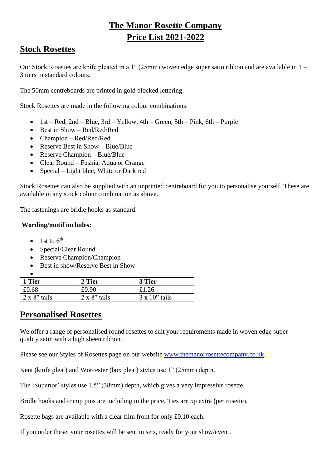# **The Manor Rosette Company Price List 2021-2022**

## **Stock Rosettes**

Our Stock Rosettes are knife pleated in a 1″ (25mm) woven edge super satin ribbon and are available in 1 – 3 tiers in standard colours.

The 50mm centreboards are printed in gold blocked lettering.

Stock Rosettes are made in the following colour combinations:

- 1st Red, 2nd Blue, 3rd Yellow, 4th Green, 5th Pink, 6th Purple
- Best in Show Red/Red/Red
- Champion Red/Red/Red
- Reserve Best in Show Blue/Blue
- Reserve Champion Blue/Blue
- Clear Round Fushia, Aqua or Orange
- Special Light blue, White or Dark red

Stock Rosettes can also be supplied with an unprinted centreboard for you to personalise yourself. These are available in any stock colour combination as above.

The fastenings are bridle hooks as standard.

#### **Wording/motif includes:**

- 1st to  $6<sup>th</sup>$
- Special/Clear Round
- Reserve Champion/Champion
- Best in show/Reserve Best in Show

| l 1 Tier             | 2 Tier               | 3 Tier                |
|----------------------|----------------------|-----------------------|
| £0.68                | £0.90                | £1.26                 |
| $2 \times 8$ " tails | $2 \times 8$ " tails | $3 \times 10$ " tails |

### **Personalised Rosettes**

We offer a range of personalised round rosettes to suit your requirements made in woven edge super quality satin with a high sheen ribbon.

Please see our Styles of Rosettes page on our website [www.themanorrosettecompany.co.uk.](http://www.themanorrosettecompany.co.uk/)

Kent (knife pleat) and Worcester (box pleat) styles use 1" (25mm) depth.

The 'Superior' styles use 1.5" (38mm) depth, which gives a very impressive rosette.

Bridle hooks and crimp pins are including in the price. Ties are 5p extra (per rosette).

Rosette bags are available with a clear film front for only £0.10 each.

If you order these, your rosettes will be sent in sets, ready for your show/event.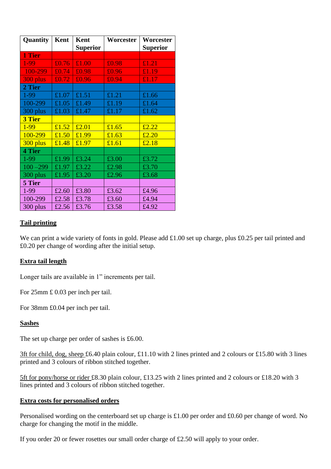| Quantity      | Kent  | Kent            | Worcester | Worcester                                |
|---------------|-------|-----------------|-----------|------------------------------------------|
|               |       | <b>Superior</b> |           | <b>Superior</b>                          |
| 1 Tier        |       |                 |           |                                          |
| 1-99          | £0.76 | £1.00           | £0.98     | £1.21                                    |
| 100-299       | £0.74 | £0.98           | £0.96     | £1.19                                    |
| 300 plus      | £0.72 | £0.96           | £0.94     | £1.17                                    |
| 2 Tier        |       |                 |           |                                          |
| 1-99          | £1.07 | £1.51           | £1.21     | £1.66                                    |
| 100-299       | £1.05 | £1.49           | £1.19     | £1.64                                    |
| 300 plus      | £1.03 | £1.47           | £1.17     | £1.62                                    |
| <b>3 Tier</b> |       |                 |           |                                          |
| 1-99          | £1.52 | £2.01           | £1.65     | £2.22                                    |
| 100-299       | £1.50 | £1.99           | £1.63     | £2.20                                    |
| 300 plus      | £1.48 | £1.97           | £1.61     | $\overline{\textcolor{red}{\mathbf{£}}}$ |
| 4 Tier        |       |                 |           |                                          |
| 1-99          | £1.99 | £3.24           | £3.00     | £3.72                                    |
| $100 - 299$   | £1.97 | £3.22           | £2.98     | £3.70                                    |
| 300 plus      | £1.95 | £3.20           | £2.96     | £3.68                                    |
| 5 Tier        |       |                 |           |                                          |
| 1-99          | £2.60 | £3.80           | £3.62     | £4.96                                    |
| 100-299       | £2.58 | £3.78           | £3.60     | £4.94                                    |
| 300 plus      | £2.56 | £3.76           | £3.58     | £4.92                                    |

#### **Tail printing**

We can print a wide variety of fonts in gold. Please add £1.00 set up charge, plus £0.25 per tail printed and £0.20 per change of wording after the initial setup.

#### **Extra tail length**

Longer tails are available in 1" increments per tail.

For 25mm £ 0.03 per inch per tail.

For 38mm £0.04 per inch per tail.

#### **Sashes**

The set up charge per order of sashes is £6.00.

3ft for child, dog, sheep £6.40 plain colour, £11.10 with 2 lines printed and 2 colours or £15.80 with 3 lines printed and 3 colours of ribbon stitched together.

5ft for pony/horse or rider £8.30 plain colour, £13.25 with 2 lines printed and 2 colours or £18.20 with 3 lines printed and 3 colours of ribbon stitched together.

#### **Extra costs for personalised orders**

Personalised wording on the centerboard set up charge is £1.00 per order and £0.60 per change of word. No charge for changing the motif in the middle.

If you order 20 or fewer rosettes our small order charge of £2.50 will apply to your order.